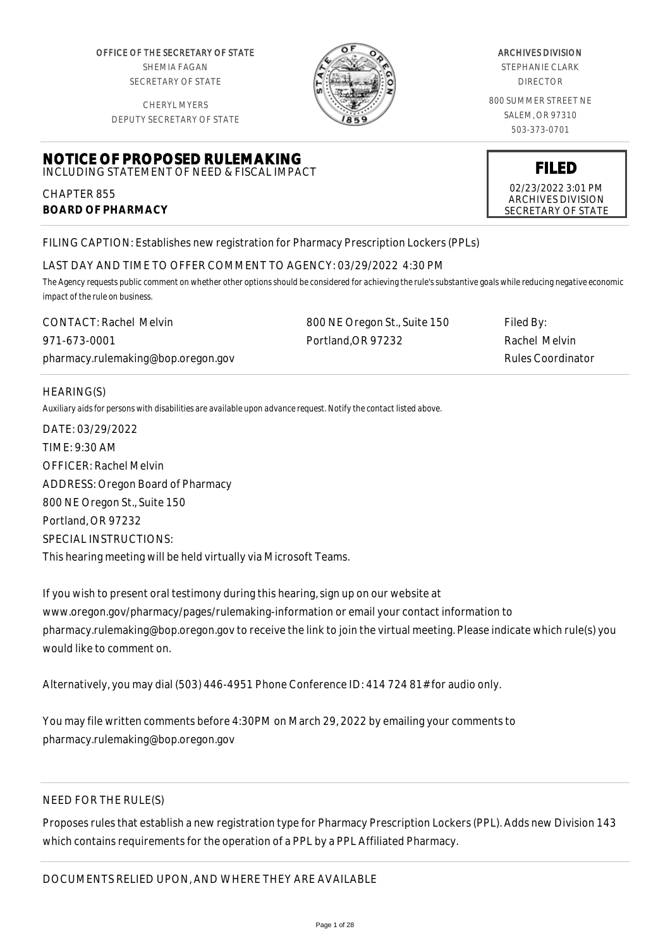OFFICE OF THE SECRETARY OF STATE SHEMIA FAGAN SECRETARY OF STATE

CHERYL MYERS



#### ARCHIVES DIVISION

STEPHANIE CLARK DIRECTOR

800 SUMMER STREET NE SALEM, OR 97310 503-373-0701

DEPUTY SECRETARY OF STATE

#### **NOTICE OF PROPOSED RULEMAKING** INCLUDING STATEMENT OF NEED & FISCAL IMPACT

CHAPTER 855 **BOARD OF PHARMACY**

FILING CAPTION: Establishes new registration for Pharmacy Prescription Lockers (PPLs)

# LAST DAY AND TIME TO OFFER COMMENT TO AGENCY: 03/29/2022 4:30 PM

*The Agency requests public comment on whether other options should be considered for achieving the rule's substantive goals while reducing negative economic impact of the rule on business.*

| <b>CONTACT: Rachel Melvin</b>      | 800 NE Oregon St., Suite 150 | Filed By:                |
|------------------------------------|------------------------------|--------------------------|
| 971-673-0001                       | Portland.OR 97232            | Rachel Melvin            |
| pharmacy.rulemaking@bop.oregon.gov |                              | <b>Rules Coordinator</b> |

### HEARING(S)

*Auxiliary aids for persons with disabilities are available upon advance request. Notify the contact listed above.*

DATE: 03/29/2022 TIME: 9:30 AM OFFICER: Rachel Melvin ADDRESS: Oregon Board of Pharmacy 800 NE Oregon St., Suite 150 Portland, OR 97232 SPECIAL INSTRUCTIONS: This hearing meeting will be held virtually via Microsoft Teams.

If you wish to present oral testimony during this hearing, sign up on our website at www.oregon.gov/pharmacy/pages/rulemaking-information or email your contact information to pharmacy.rulemaking@bop.oregon.gov to receive the link to join the virtual meeting. Please indicate which rule(s) you would like to comment on.

Alternatively, you may dial (503) 446-4951 Phone Conference ID: 414 724 81# for audio only.

You may file written comments before 4:30PM on March 29, 2022 by emailing your comments to pharmacy.rulemaking@bop.oregon.gov

# NEED FOR THE RULE(S)

Proposes rules that establish a new registration type for Pharmacy Prescription Lockers (PPL). Adds new Division 143 which contains requirements for the operation of a PPL by a PPL Affiliated Pharmacy.

**FILED** 02/23/2022 3:01 PM ARCHIVES DIVISION SECRETARY OF STATE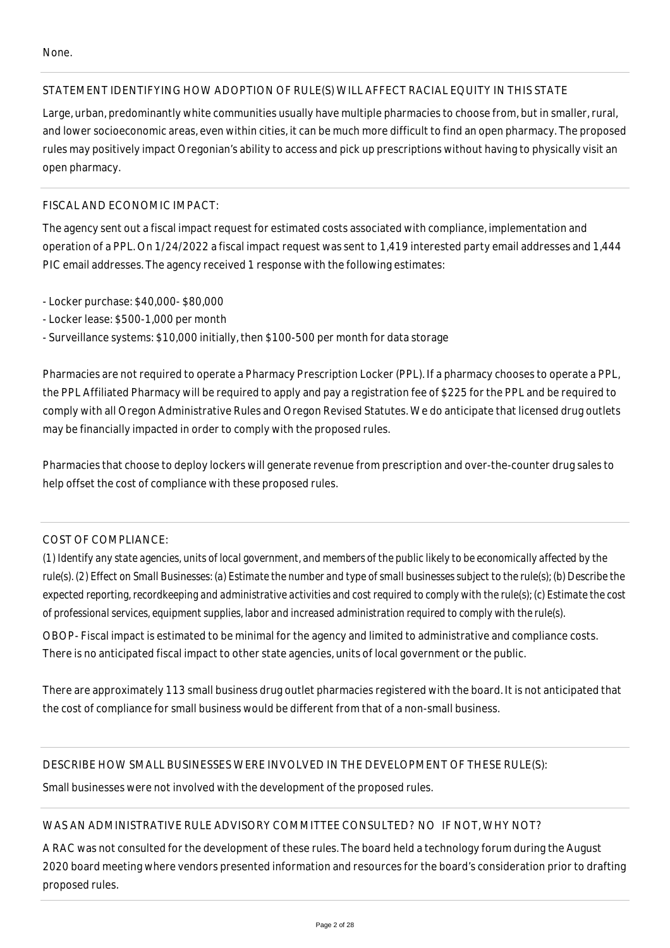# STATEMENT IDENTIFYING HOW ADOPTION OF RULE(S) WILL AFFECT RACIAL EQUITY IN THIS STATE

Large, urban, predominantly white communities usually have multiple pharmacies to choose from, but in smaller, rural, and lower socioeconomic areas, even within cities, it can be much more difficult to find an open pharmacy. The proposed rules may positively impact Oregonian's ability to access and pick up prescriptions without having to physically visit an open pharmacy.

# FISCAL AND ECONOMIC IMPACT:

The agency sent out a fiscal impact request for estimated costs associated with compliance, implementation and operation of a PPL. On 1/24/2022 a fiscal impact request was sent to 1,419 interested party email addresses and 1,444 PIC email addresses. The agency received 1 response with the following estimates:

- Locker purchase: \$40,000- \$80,000
- Locker lease: \$500-1,000 per month
- Surveillance systems: \$10,000 initially, then \$100-500 per month for data storage

Pharmacies are not required to operate a Pharmacy Prescription Locker (PPL). If a pharmacy chooses to operate a PPL, the PPL Affiliated Pharmacy will be required to apply and pay a registration fee of \$225 for the PPL and be required to comply with all Oregon Administrative Rules and Oregon Revised Statutes. We do anticipate that licensed drug outlets may be financially impacted in order to comply with the proposed rules.

Pharmacies that choose to deploy lockers will generate revenue from prescription and over-the-counter drug sales to help offset the cost of compliance with these proposed rules.

# COST OF COMPLIANCE:

*(1) Identify any state agencies, units of local government, and members of the public likely to be economically affected by the rule(s). (2) Effect on Small Businesses: (a) Estimate the number and type of small businesses subject to the rule(s); (b) Describe the expected reporting, recordkeeping and administrative activities and cost required to comply with the rule(s); (c) Estimate the cost of professional services, equipment supplies, labor and increased administration required to comply with the rule(s).*

OBOP- Fiscal impact is estimated to be minimal for the agency and limited to administrative and compliance costs. There is no anticipated fiscal impact to other state agencies, units of local government or the public.

There are approximately 113 small business drug outlet pharmacies registered with the board. It is not anticipated that the cost of compliance for small business would be different from that of a non-small business.

# DESCRIBE HOW SMALL BUSINESSES WERE INVOLVED IN THE DEVELOPMENT OF THESE RULE(S):

Small businesses were not involved with the development of the proposed rules.

# WAS AN ADMINISTRATIVE RULE ADVISORY COMMITTEE CONSULTED? NO IF NOT, WHY NOT?

A RAC was not consulted for the development of these rules. The board held a technology forum during the August 2020 board meeting where vendors presented information and resources for the board's consideration prior to drafting proposed rules.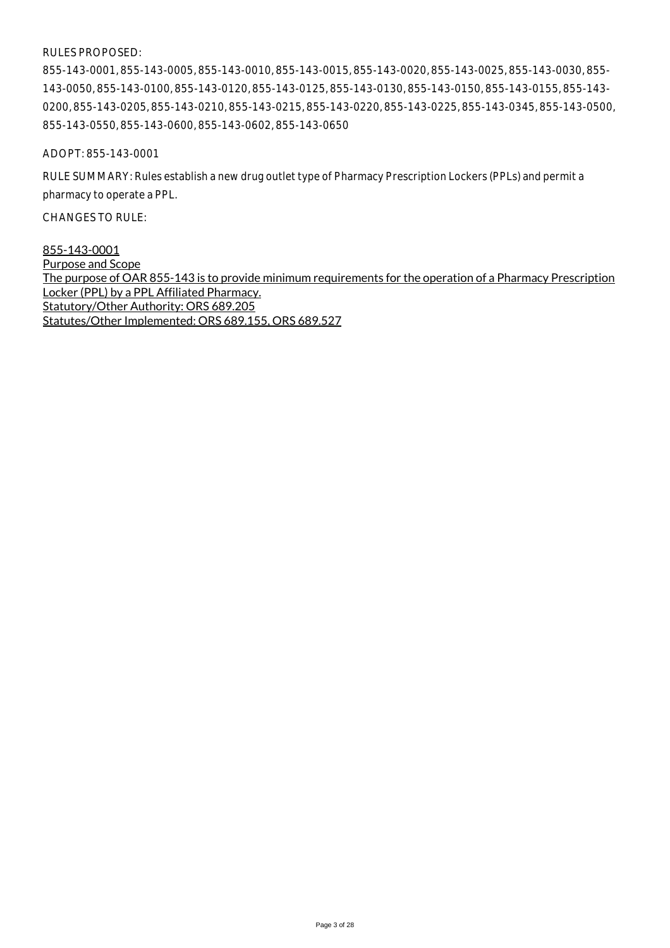#### RULES PROPOSED:

855-143-0001, 855-143-0005, 855-143-0010, 855-143-0015, 855-143-0020, 855-143-0025, 855-143-0030, 855- 143-0050, 855-143-0100, 855-143-0120, 855-143-0125, 855-143-0130, 855-143-0150, 855-143-0155, 855-143- 0200, 855-143-0205, 855-143-0210, 855-143-0215, 855-143-0220, 855-143-0225, 855-143-0345, 855-143-0500, 855-143-0550, 855-143-0600, 855-143-0602, 855-143-0650

ADOPT: 855-143-0001

RULE SUMMARY: Rules establish a new drug outlet type of Pharmacy Prescription Lockers (PPLs) and permit a pharmacy to operate a PPL.

CHANGES TO RULE:

855-143-0001 Purpose and Scope The purpose of OAR 855-143 is to provide minimum requirements for the operation of a Pharmacy Prescription Locker (PPL) by a PPL Affiliated Pharmacy. Statutory/Other Authority: ORS 689.205 Statutes/Other Implemented: ORS 689.155, ORS 689.527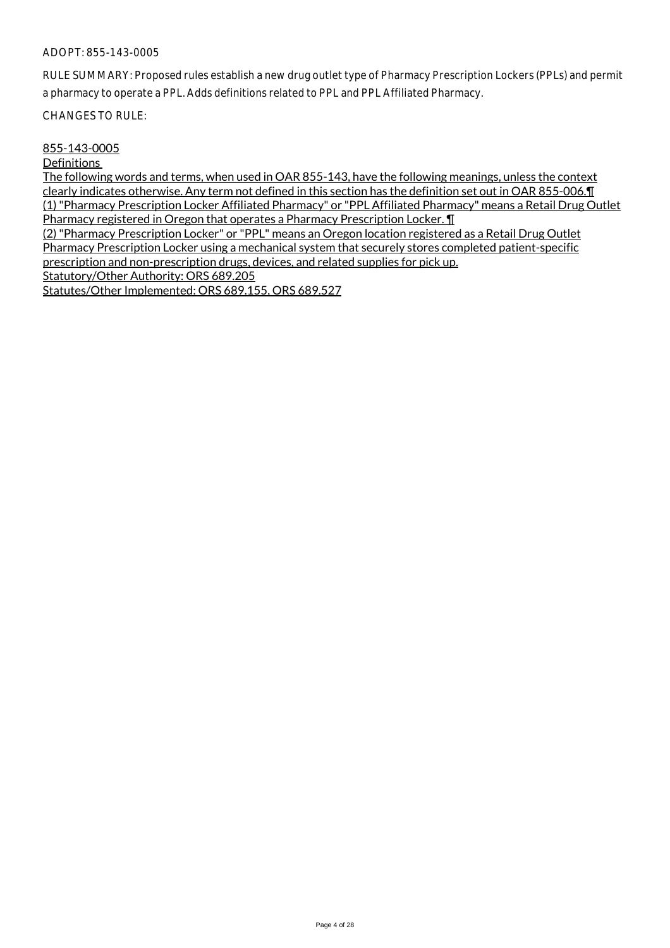RULE SUMMARY: Proposed rules establish a new drug outlet type of Pharmacy Prescription Lockers (PPLs) and permit a pharmacy to operate a PPL. Adds definitions related to PPL and PPL Affiliated Pharmacy.

CHANGES TO RULE:

#### 855-143-0005

**Definitions** 

The following words and terms, when used in OAR 855-143, have the following meanings, unless the context clearly indicates otherwise. Any term not defined in this section has the definition set out in OAR 855-006.¶ (1) "Pharmacy Prescription Locker Affiliated Pharmacy" or "PPL Affiliated Pharmacy" means a Retail Drug Outlet Pharmacy registered in Oregon that operates a Pharmacy Prescription Locker. ¶

(2) "Pharmacy Prescription Locker" or "PPL" means an Oregon location registered as a Retail Drug Outlet Pharmacy Prescription Locker using a mechanical system that securely stores completed patient-specific prescription and non-prescription drugs, devices, and related supplies for pick up.

Statutory/Other Authority: ORS 689.205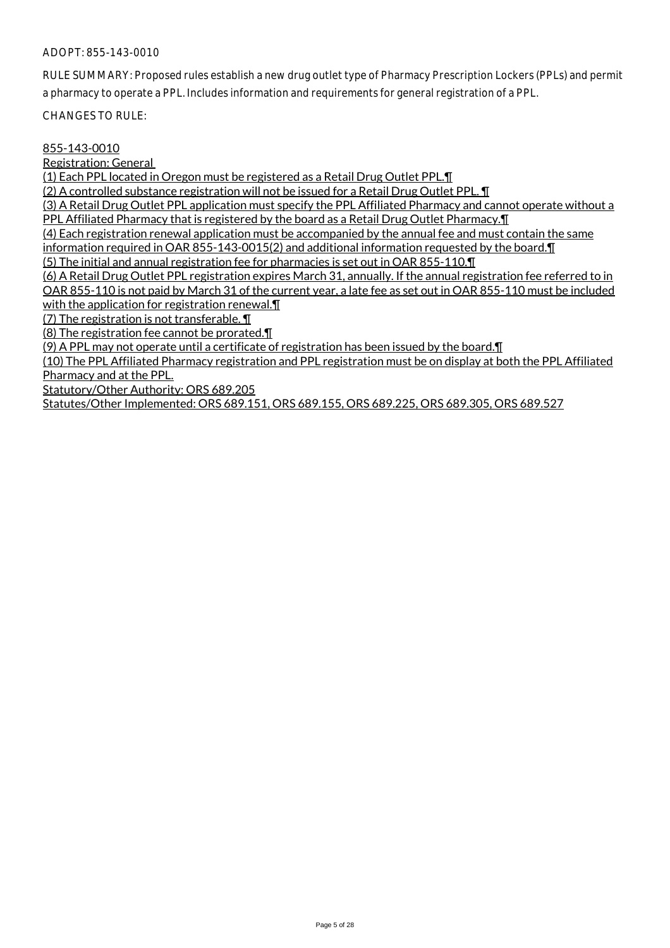RULE SUMMARY: Proposed rules establish a new drug outlet type of Pharmacy Prescription Lockers (PPLs) and permit a pharmacy to operate a PPL. Includes information and requirements for general registration of a PPL.

CHANGES TO RULE:

#### 855-143-0010

Registration: General

(1) Each PPL located in Oregon must be registered as a Retail Drug Outlet PPL.¶

(2) A controlled substance registration will not be issued for a Retail Drug Outlet PPL. ¶

(3) A Retail Drug Outlet PPL application must specify the PPL Affiliated Pharmacy and cannot operate without a PPL Affiliated Pharmacy that is registered by the board as a Retail Drug Outlet Pharmacy.¶

(4) Each registration renewal application must be accompanied by the annual fee and must contain the same information required in OAR 855-143-0015(2) and additional information requested by the board.¶

(5) The initial and annual registration fee for pharmacies is set out in OAR 855-110.¶

(6) A Retail Drug Outlet PPL registration expires March 31, annually. If the annual registration fee referred to in OAR 855-110 is not paid by March 31 of the current year, a late fee as set out in OAR 855-110 must be included with the application for registration renewal.

(7) The registration is not transferable. ¶

(8) The registration fee cannot be prorated.¶

(9) A PPL may not operate until a certificate of registration has been issued by the board.¶

(10) The PPL Affiliated Pharmacy registration and PPL registration must be on display at both the PPL Affiliated Pharmacy and at the PPL.

Statutory/Other Authority: ORS 689.205

Statutes/Other Implemented: ORS 689.151, ORS 689.155, ORS 689.225, ORS 689.305, ORS 689.527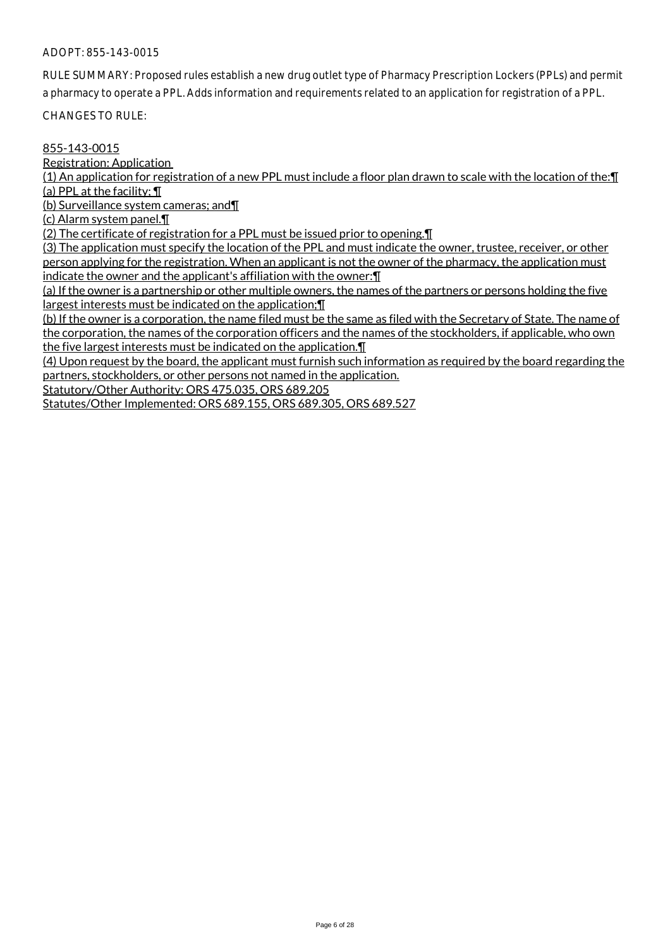RULE SUMMARY: Proposed rules establish a new drug outlet type of Pharmacy Prescription Lockers (PPLs) and permit a pharmacy to operate a PPL. Adds information and requirements related to an application for registration of a PPL.

CHANGES TO RULE:

#### 855-143-0015

Registration: Application

(1) An application for registration of a new PPL must include a floor plan drawn to scale with the location of the:¶ (a) PPL at the facility; ¶

(b) Surveillance system cameras; and¶

(c) Alarm system panel.¶

(2) The certificate of registration for a PPL must be issued prior to opening.¶

(3) The application must specify the location of the PPL and must indicate the owner, trustee, receiver, or other person applying for the registration. When an applicant is not the owner of the pharmacy, the application must indicate the owner and the applicant's affiliation with the owner:¶

(a) If the owner is a partnership or other multiple owners, the names of the partners or persons holding the five largest interests must be indicated on the application;¶

(b) If the owner is a corporation, the name filed must be the same as filed with the Secretary of State. The name of the corporation, the names of the corporation officers and the names of the stockholders, if applicable, who own the five largest interests must be indicated on the application.¶

(4) Upon request by the board, the applicant must furnish such information as required by the board regarding the partners, stockholders, or other persons not named in the application.

Statutory/Other Authority: ORS 475.035, ORS 689.205

Statutes/Other Implemented: ORS 689.155, ORS 689.305, ORS 689.527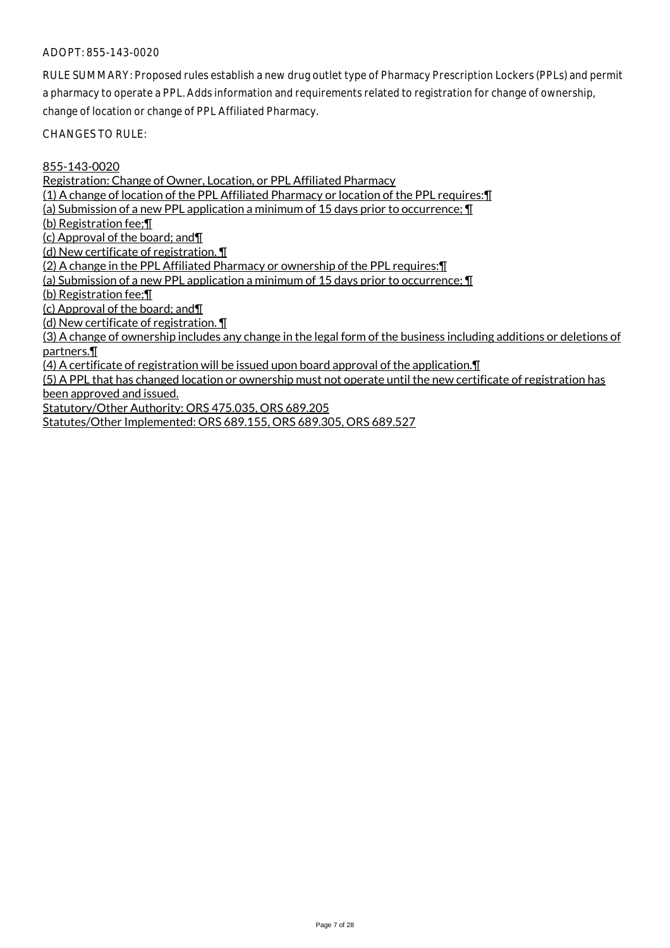RULE SUMMARY: Proposed rules establish a new drug outlet type of Pharmacy Prescription Lockers (PPLs) and permit a pharmacy to operate a PPL. Adds information and requirements related to registration for change of ownership, change of location or change of PPL Affiliated Pharmacy.

CHANGES TO RULE:

855-143-0020

Registration: Change of Owner, Location, or PPL Affiliated Pharmacy

(1) A change of location of the PPL Affiliated Pharmacy or location of the PPL requires:¶

(a) Submission of a new PPL application a minimum of 15 days prior to occurrence; ¶

(b) Registration fee;¶

(c) Approval of the board; and¶

(d) New certificate of registration. ¶

(2) A change in the PPL Affiliated Pharmacy or ownership of the PPL requires:¶

(a) Submission of a new PPL application a minimum of 15 days prior to occurrence; ¶

(b) Registration fee;¶

(c) Approval of the board; and¶

(d) New certificate of registration. ¶

(3) A change of ownership includes any change in the legal form of the business including additions or deletions of partners.¶

(4) A certificate of registration will be issued upon board approval of the application.¶

(5) A PPL that has changed location or ownership must not operate until the new certificate of registration has been approved and issued.

Statutory/Other Authority: ORS 475.035, ORS 689.205

Statutes/Other Implemented: ORS 689.155, ORS 689.305, ORS 689.527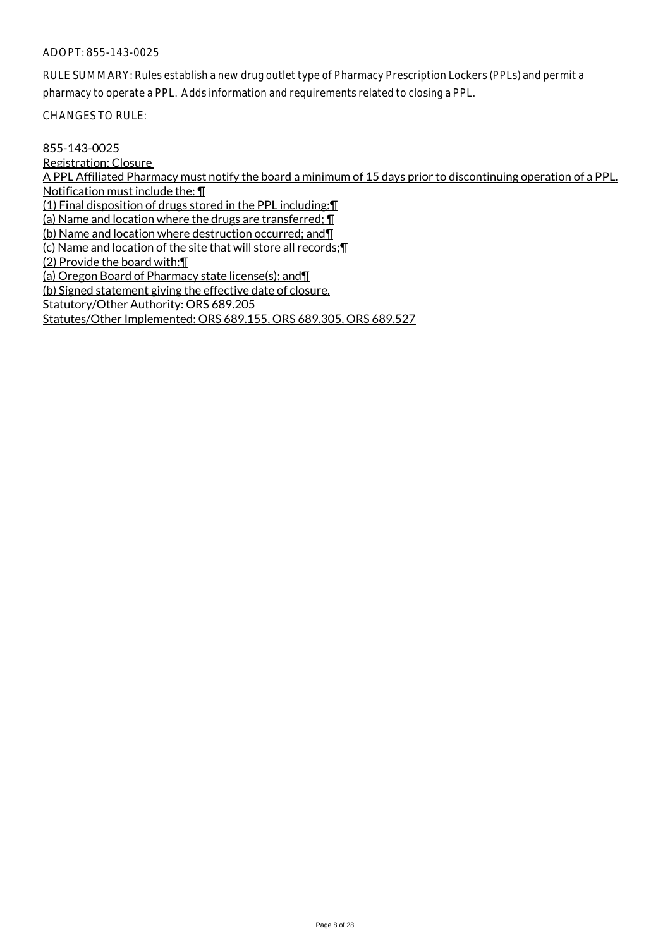RULE SUMMARY: Rules establish a new drug outlet type of Pharmacy Prescription Lockers (PPLs) and permit a pharmacy to operate a PPL. Adds information and requirements related to closing a PPL.

CHANGES TO RULE:

855-143-0025 Registration: Closure A PPL Affiliated Pharmacy must notify the board a minimum of 15 days prior to discontinuing operation of a PPL. Notification must include the: ¶ (1) Final disposition of drugs stored in the PPL including:¶ (a) Name and location where the drugs are transferred; ¶ (b) Name and location where destruction occurred; and¶ (c) Name and location of the site that will store all records;¶ (2) Provide the board with:¶ (a) Oregon Board of Pharmacy state license(s); and¶ (b) Signed statement giving the effective date of closure. Statutory/Other Authority: ORS 689.205 Statutes/Other Implemented: ORS 689.155, ORS 689.305, ORS 689.527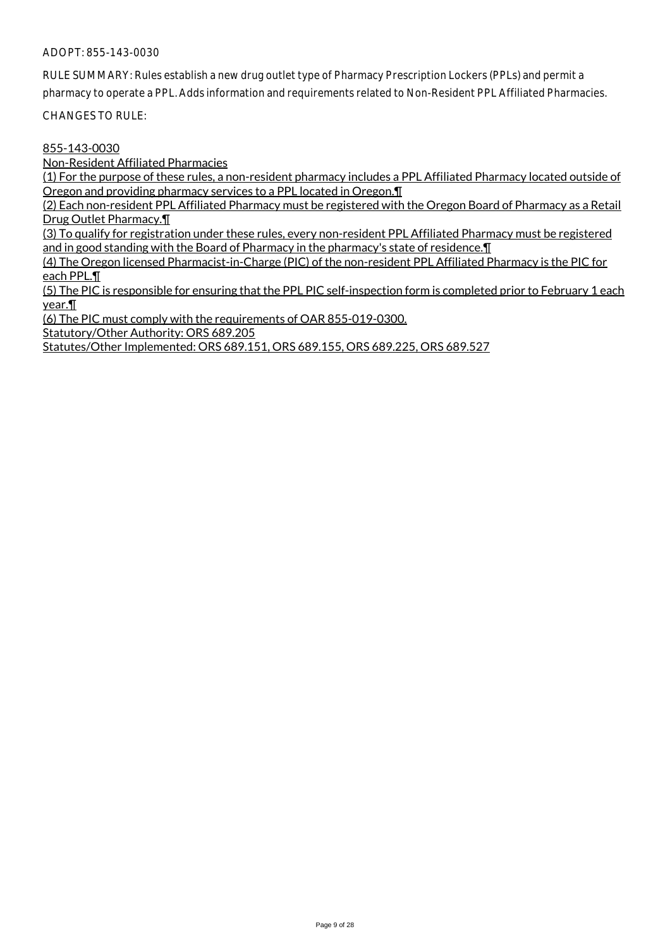RULE SUMMARY: Rules establish a new drug outlet type of Pharmacy Prescription Lockers (PPLs) and permit a

pharmacy to operate a PPL. Adds information and requirements related to Non-Resident PPL Affiliated Pharmacies.

CHANGES TO RULE:

### 855-143-0030

Non-Resident Affiliated Pharmacies

(1) For the purpose of these rules, a non-resident pharmacy includes a PPL Affiliated Pharmacy located outside of Oregon and providing pharmacy services to a PPL located in Oregon.¶

(2) Each non-resident PPL Affiliated Pharmacy must be registered with the Oregon Board of Pharmacy as a Retail Drug Outlet Pharmacy.¶

(3) To qualify for registration under these rules, every non-resident PPL Affiliated Pharmacy must be registered and in good standing with the Board of Pharmacy in the pharmacy's state of residence. I

(4) The Oregon licensed Pharmacist-in-Charge (PIC) of the non-resident PPL Affiliated Pharmacy is the PIC for each PPL.¶

(5) The PIC is responsible for ensuring that the PPL PIC self-inspection form is completed prior to February 1 each year.¶

(6) The PIC must comply with the requirements of OAR 855-019-0300.

Statutory/Other Authority: ORS 689.205

Statutes/Other Implemented: ORS 689.151, ORS 689.155, ORS 689.225, ORS 689.527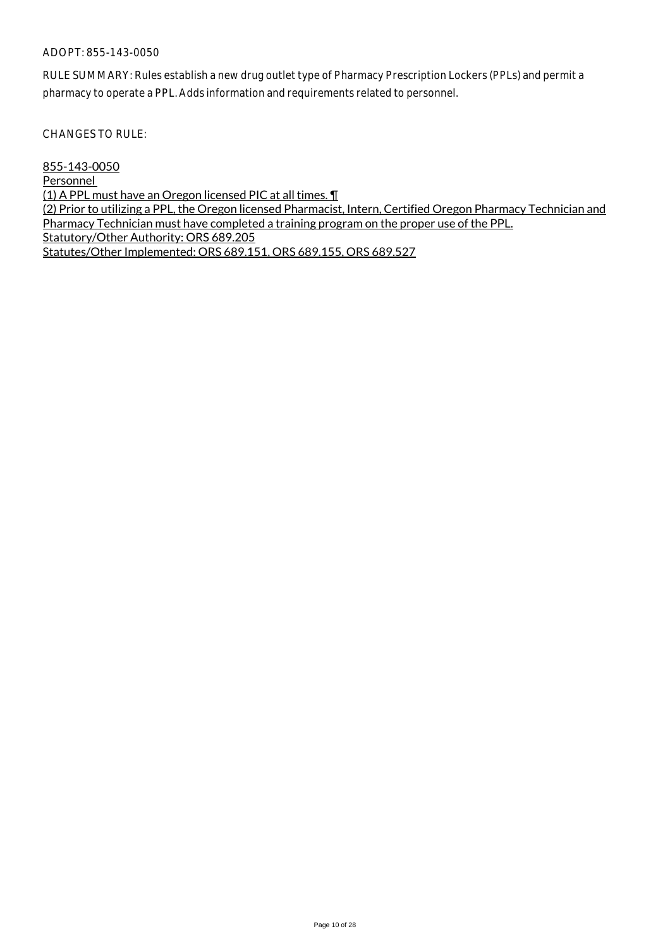RULE SUMMARY: Rules establish a new drug outlet type of Pharmacy Prescription Lockers (PPLs) and permit a pharmacy to operate a PPL. Adds information and requirements related to personnel.

CHANGES TO RULE:

855-143-0050 **Personnel** (1) A PPL must have an Oregon licensed PIC at all times. ¶ (2) Prior to utilizing a PPL, the Oregon licensed Pharmacist, Intern, Certified Oregon Pharmacy Technician and Pharmacy Technician must have completed a training program on the proper use of the PPL. Statutory/Other Authority: ORS 689.205 Statutes/Other Implemented: ORS 689.151, ORS 689.155, ORS 689.527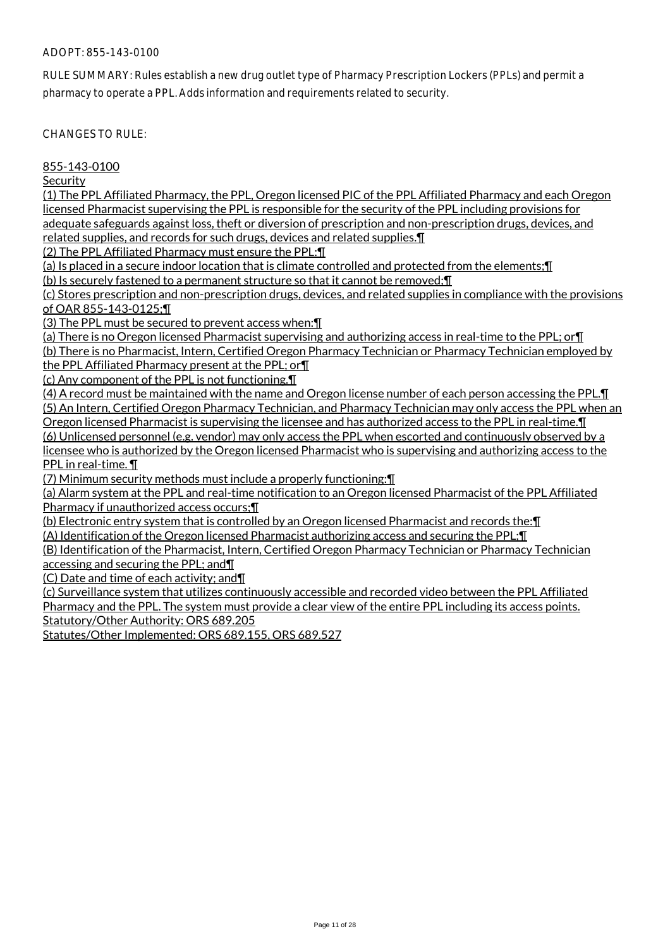RULE SUMMARY: Rules establish a new drug outlet type of Pharmacy Prescription Lockers (PPLs) and permit a pharmacy to operate a PPL. Adds information and requirements related to security.

CHANGES TO RULE:

855-143-0100

Security

(1) The PPL Affiliated Pharmacy, the PPL, Oregon licensed PIC of the PPL Affiliated Pharmacy and each Oregon licensed Pharmacist supervising the PPL is responsible for the security of the PPL including provisions for adequate safeguards against loss, theft or diversion of prescription and non-prescription drugs, devices, and

related supplies, and records for such drugs, devices and related supplies.¶

(2) The PPL Affiliated Pharmacy must ensure the PPL:¶

(a) Is placed in a secure indoor location that is climate controlled and protected from the elements;¶

(b) Is securely fastened to a permanent structure so that it cannot be removed;¶

(c) Stores prescription and non-prescription drugs, devices, and related supplies in compliance with the provisions of OAR 855-143-0125;¶

(3) The PPL must be secured to prevent access when:¶

(a) There is no Oregon licensed Pharmacist supervising and authorizing access in real-time to the PPL; or¶

(b) There is no Pharmacist, Intern, Certified Oregon Pharmacy Technician or Pharmacy Technician employed by the PPL Affiliated Pharmacy present at the PPL; or¶

(c) Any component of the PPL is not functioning.¶

(4) A record must be maintained with the name and Oregon license number of each person accessing the PPL.¶ (5) An Intern, Certified Oregon Pharmacy Technician, and Pharmacy Technician may only access the PPL when an Oregon licensed Pharmacist is supervising the licensee and has authorized access to the PPL in real-time.¶ (6) Unlicensed personnel (e.g. vendor) may only access the PPL when escorted and continuously observed by a licensee who is authorized by the Oregon licensed Pharmacist who is supervising and authorizing access to the PPL in real-time. ¶

(7) Minimum security methods must include a properly functioning:¶

(a) Alarm system at the PPL and real-time notification to an Oregon licensed Pharmacist of the PPL Affiliated Pharmacy if unauthorized access occurs;¶

(b) Electronic entry system that is controlled by an Oregon licensed Pharmacist and records the:¶

(A) Identification of the Oregon licensed Pharmacist authorizing access and securing the PPL;¶

(B) Identification of the Pharmacist, Intern, Certified Oregon Pharmacy Technician or Pharmacy Technician accessing and securing the PPL; and¶

(C) Date and time of each activity; and¶

(c) Surveillance system that utilizes continuously accessible and recorded video between the PPL Affiliated Pharmacy and the PPL. The system must provide a clear view of the entire PPL including its access points. Statutory/Other Authority: ORS 689.205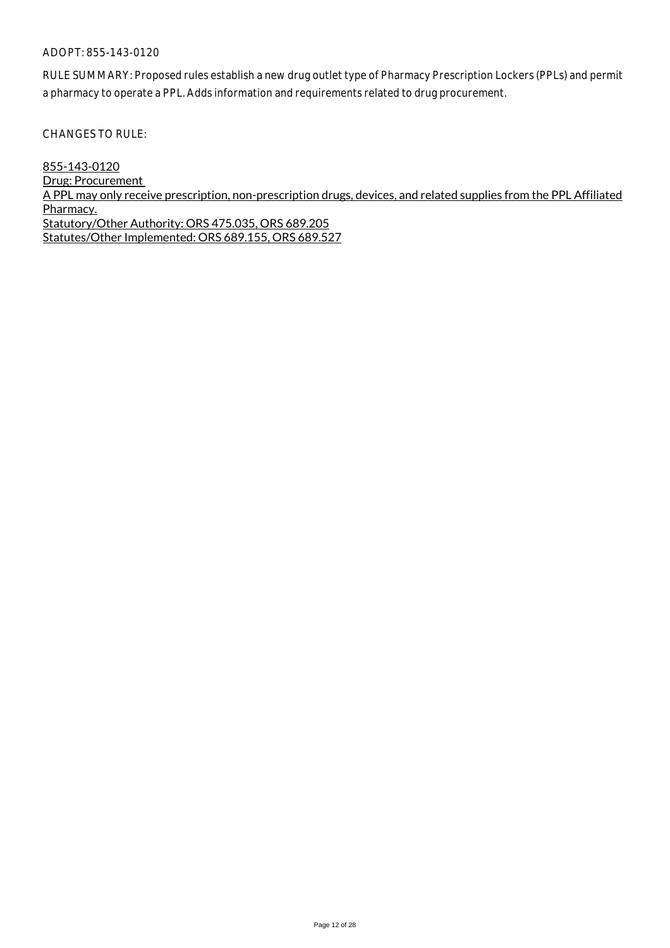RULE SUMMARY: Proposed rules establish a new drug outlet type of Pharmacy Prescription Lockers (PPLs) and permit a pharmacy to operate a PPL. Adds information and requirements related to drug procurement.

CHANGES TO RULE:

855-143-0120 Drug: Procurement A PPL may only receive prescription, non-prescription drugs, devices, and related supplies from the PPL Affiliated Pharmacy. Statutory/Other Authority: ORS 475.035, ORS 689.205 Statutes/Other Implemented: ORS 689.155, ORS 689.527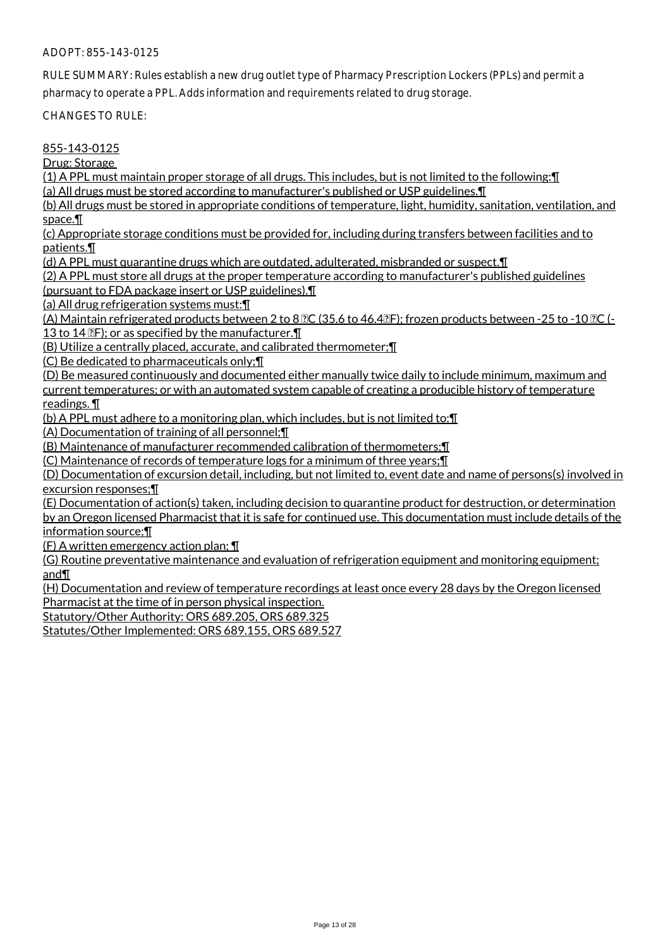RULE SUMMARY: Rules establish a new drug outlet type of Pharmacy Prescription Lockers (PPLs) and permit a pharmacy to operate a PPL. Adds information and requirements related to drug storage.

CHANGES TO RULE:

#### 855-143-0125

Drug: Storage

(1) A PPL must maintain proper storage of all drugs. This includes, but is not limited to the following:¶

(a) All drugs must be stored according to manufacturer's published or USP guidelines.¶

(b) All drugs must be stored in appropriate conditions of temperature, light, humidity, sanitation, ventilation, and space.¶

(c) Appropriate storage conditions must be provided for, including during transfers between facilities and to patients.¶

(d) A PPL must quarantine drugs which are outdated, adulterated, misbranded or suspect.¶

(2) A PPL must store all drugs at the proper temperature according to manufacturer's published guidelines

(pursuant to FDA package insert or USP guidelines).¶

(a) All drug refrigeration systems must:¶

(A) Maintain refrigerated products between 2 to 8  $\mathbb{PC}$  (35.6 to 46.4 $\mathbb{CP}$ ); frozen products between -25 to -10  $\mathbb{PC}$  (-13 to 14  $\mathbb{P}$ ; or as specified by the manufacturer. $\P$ 

(B) Utilize a centrally placed, accurate, and calibrated thermometer;¶

(C) Be dedicated to pharmaceuticals only;¶

(D) Be measured continuously and documented either manually twice daily to include minimum, maximum and current temperatures; or with an automated system capable of creating a producible history of temperature readings. ¶

(b) A PPL must adhere to a monitoring plan, which includes, but is not limited to:¶

(A) Documentation of training of all personnel;¶

(B) Maintenance of manufacturer recommended calibration of thermometers;¶

(C) Maintenance of records of temperature logs for a minimum of three years;¶

(D) Documentation of excursion detail, including, but not limited to, event date and name of persons(s) involved in excursion responses;¶

(E) Documentation of action(s) taken, including decision to quarantine product for destruction, or determination by an Oregon licensed Pharmacist that it is safe for continued use. This documentation must include details of the information source;¶

(F) A written emergency action plan; ¶

(G) Routine preventative maintenance and evaluation of refrigeration equipment and monitoring equipment; and¶

(H) Documentation and review of temperature recordings at least once every 28 days by the Oregon licensed Pharmacist at the time of in person physical inspection.

Statutory/Other Authority: ORS 689.205, ORS 689.325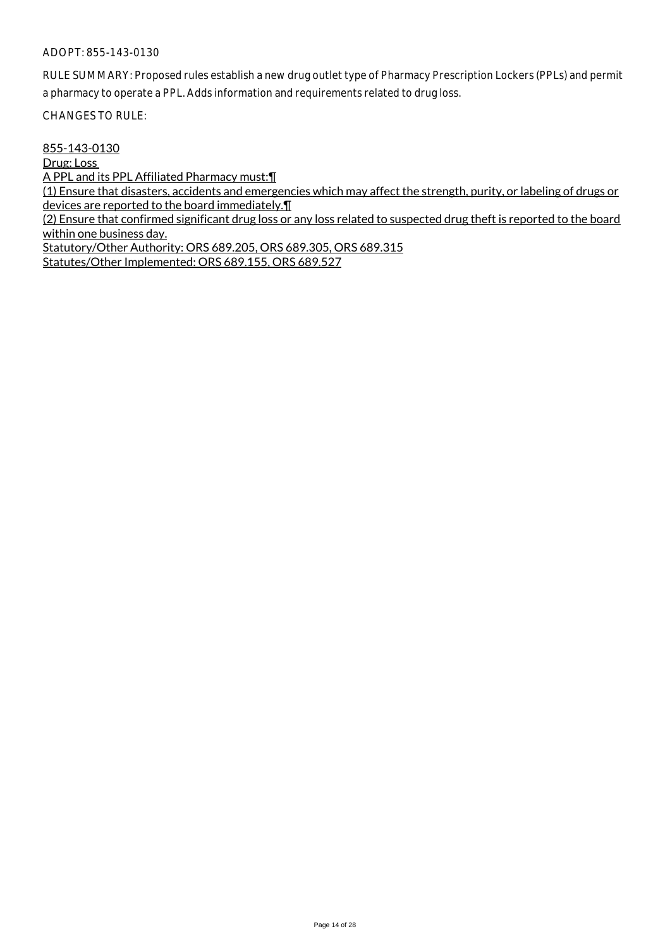RULE SUMMARY: Proposed rules establish a new drug outlet type of Pharmacy Prescription Lockers (PPLs) and permit a pharmacy to operate a PPL. Adds information and requirements related to drug loss.

CHANGES TO RULE:

855-143-0130

Drug: Loss

A PPL and its PPL Affiliated Pharmacy must:¶

(1) Ensure that disasters, accidents and emergencies which may affect the strength, purity, or labeling of drugs or devices are reported to the board immediately.¶

(2) Ensure that confirmed significant drug loss or any loss related to suspected drug theft is reported to the board within one business day.

Statutory/Other Authority: ORS 689.205, ORS 689.305, ORS 689.315 Statutes/Other Implemented: ORS 689.155, ORS 689.527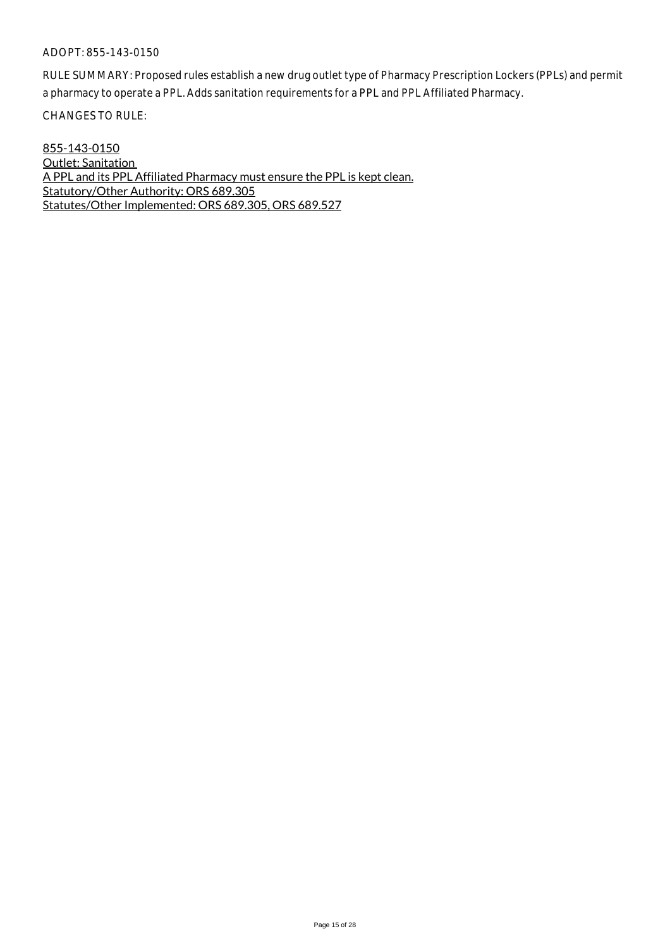RULE SUMMARY: Proposed rules establish a new drug outlet type of Pharmacy Prescription Lockers (PPLs) and permit a pharmacy to operate a PPL. Adds sanitation requirements for a PPL and PPL Affiliated Pharmacy.

CHANGES TO RULE:

855-143-0150 Outlet: Sanitation A PPL and its PPL Affiliated Pharmacy must ensure the PPL is kept clean. Statutory/Other Authority: ORS 689.305 Statutes/Other Implemented: ORS 689.305, ORS 689.527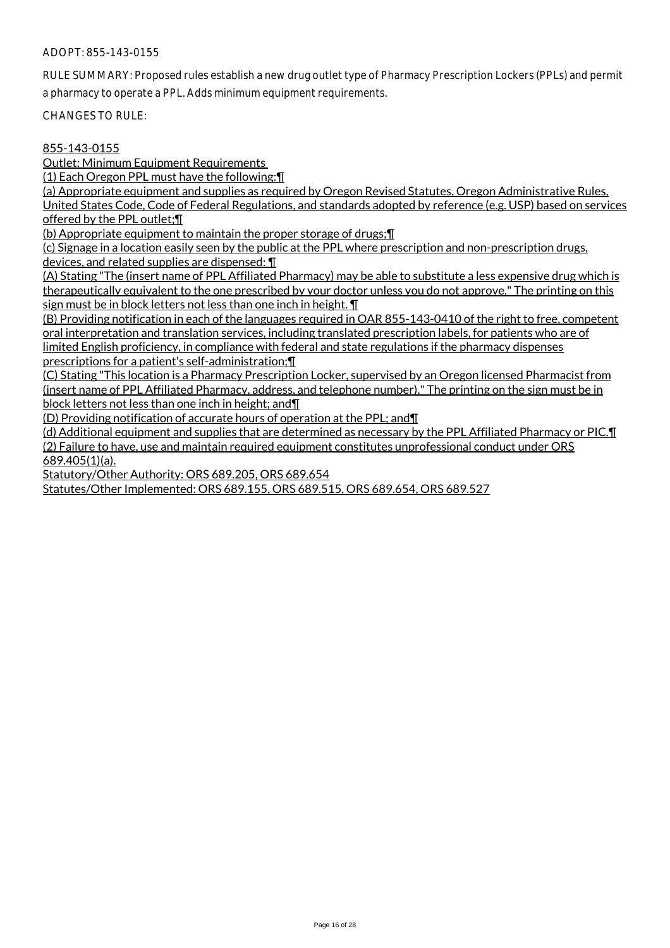RULE SUMMARY: Proposed rules establish a new drug outlet type of Pharmacy Prescription Lockers (PPLs) and permit a pharmacy to operate a PPL. Adds minimum equipment requirements.

CHANGES TO RULE:

#### 855-143-0155

Outlet: Minimum Equipment Requirements

(1) Each Oregon PPL must have the following:¶

(a) Appropriate equipment and supplies as required by Oregon Revised Statutes, Oregon Administrative Rules, United States Code, Code of Federal Regulations, and standards adopted by reference (e.g. USP) based on services offered by the PPL outlet;¶

(b) Appropriate equipment to maintain the proper storage of drugs;¶

(c) Signage in a location easily seen by the public at the PPL where prescription and non-prescription drugs, devices, and related supplies are dispensed: ¶

(A) Stating "The (insert name of PPL Affiliated Pharmacy) may be able to substitute a less expensive drug which is therapeutically equivalent to the one prescribed by your doctor unless you do not approve." The printing on this sign must be in block letters not less than one inch in height. ¶

(B) Providing notification in each of the languages required in OAR 855-143-0410 of the right to free, competent oral interpretation and translation services, including translated prescription labels, for patients who are of limited English proficiency, in compliance with federal and state regulations if the pharmacy dispenses prescriptions for a patient's self-administration;¶

(C) Stating "This location is a Pharmacy Prescription Locker, supervised by an Oregon licensed Pharmacist from (insert name of PPL Affiliated Pharmacy, address, and telephone number)." The printing on the sign must be in block letters not less than one inch in height; and¶

(D) Providing notification of accurate hours of operation at the PPL; and¶

(d) Additional equipment and supplies that are determined as necessary by the PPL Affiliated Pharmacy or PIC.¶ (2) Failure to have, use and maintain required equipment constitutes unprofessional conduct under ORS 689.405(1)(a).

Statutory/Other Authority: ORS 689.205, ORS 689.654

Statutes/Other Implemented: ORS 689.155, ORS 689.515, ORS 689.654, ORS 689.527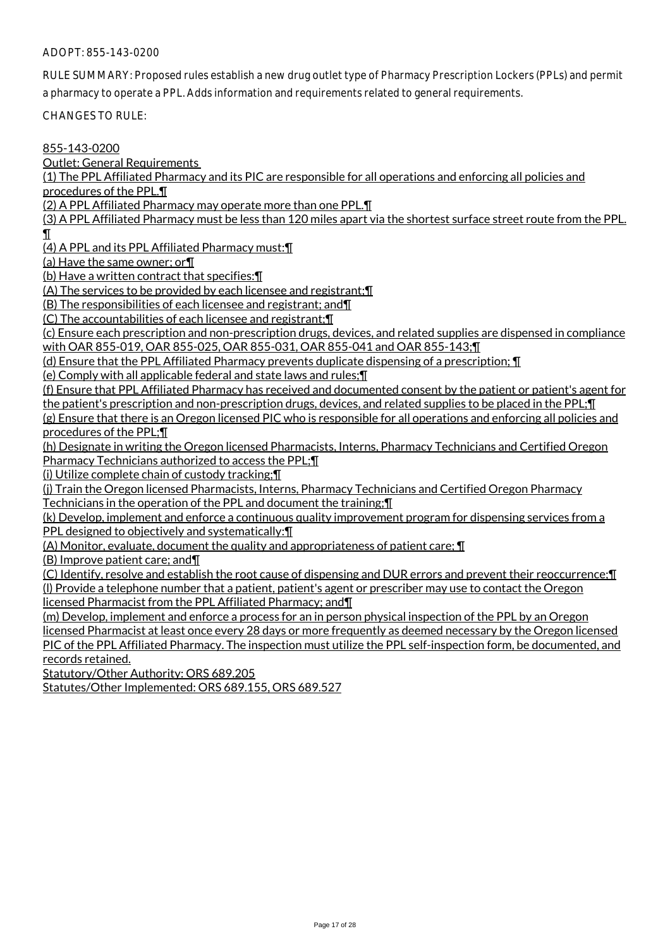RULE SUMMARY: Proposed rules establish a new drug outlet type of Pharmacy Prescription Lockers (PPLs) and permit a pharmacy to operate a PPL. Adds information and requirements related to general requirements.

CHANGES TO RULE:

855-143-0200

Outlet: General Requirements

(1) The PPL Affiliated Pharmacy and its PIC are responsible for all operations and enforcing all policies and procedures of the PPL.¶

(2) A PPL Affiliated Pharmacy may operate more than one PPL.¶

(3) A PPL Affiliated Pharmacy must be less than 120 miles apart via the shortest surface street route from the PPL. ¶

(4) A PPL and its PPL Affiliated Pharmacy must:¶

(a) Have the same owner; or¶

(b) Have a written contract that specifies:¶

(A) The services to be provided by each licensee and registrant;¶

(B) The responsibilities of each licensee and registrant; and¶

(C) The accountabilities of each licensee and registrant;¶

(c) Ensure each prescription and non-prescription drugs, devices, and related supplies are dispensed in compliance with OAR 855-019, OAR 855-025, OAR 855-031, OAR 855-041 and OAR 855-143;¶

(d) Ensure that the PPL Affiliated Pharmacy prevents duplicate dispensing of a prescription; ¶

(e) Comply with all applicable federal and state laws and rules;¶

(f) Ensure that PPL Affiliated Pharmacy has received and documented consent by the patient or patient's agent for the patient's prescription and non-prescription drugs, devices, and related supplies to be placed in the PPL;¶

(g) Ensure that there is an Oregon licensed PIC who is responsible for all operations and enforcing all policies and procedures of the PPL;¶

(h) Designate in writing the Oregon licensed Pharmacists, Interns, Pharmacy Technicians and Certified Oregon Pharmacy Technicians authorized to access the PPL;¶

(i) Utilize complete chain of custody tracking;¶

(j) Train the Oregon licensed Pharmacists, Interns, Pharmacy Technicians and Certified Oregon Pharmacy Technicians in the operation of the PPL and document the training;¶

(k) Develop, implement and enforce a continuous quality improvement program for dispensing services from a PPL designed to objectively and systematically:¶

(A) Monitor, evaluate, document the quality and appropriateness of patient care; ¶

(B) Improve patient care; and¶

(C) Identify, resolve and establish the root cause of dispensing and DUR errors and prevent their reoccurrence;¶ (l) Provide a telephone number that a patient, patient's agent or prescriber may use to contact the Oregon

licensed Pharmacist from the PPL Affiliated Pharmacy; and¶

(m) Develop, implement and enforce a process for an in person physical inspection of the PPL by an Oregon licensed Pharmacist at least once every 28 days or more frequently as deemed necessary by the Oregon licensed PIC of the PPL Affiliated Pharmacy. The inspection must utilize the PPL self-inspection form, be documented, and records retained.

Statutory/Other Authority: ORS 689.205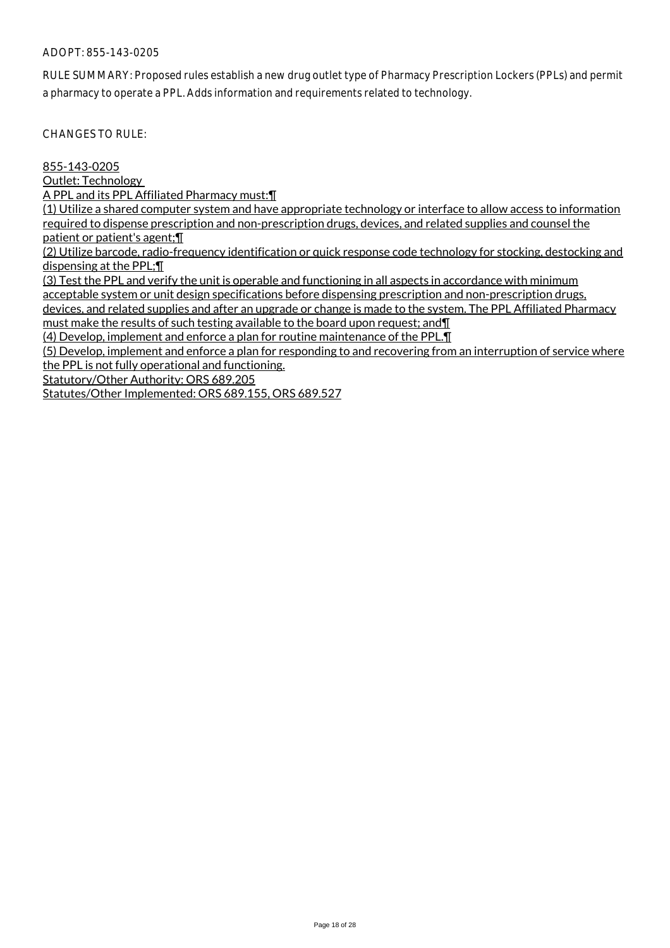RULE SUMMARY: Proposed rules establish a new drug outlet type of Pharmacy Prescription Lockers (PPLs) and permit a pharmacy to operate a PPL. Adds information and requirements related to technology.

CHANGES TO RULE:

855-143-0205

Outlet: Technology

A PPL and its PPL Affiliated Pharmacy must:¶

(1) Utilize a shared computer system and have appropriate technology or interface to allow access to information required to dispense prescription and non-prescription drugs, devices, and related supplies and counsel the patient or patient's agent;¶

(2) Utilize barcode, radio-frequency identification or quick response code technology for stocking, destocking and dispensing at the PPL;¶

(3) Test the PPL and verify the unit is operable and functioning in all aspects in accordance with minimum acceptable system or unit design specifications before dispensing prescription and non-prescription drugs, devices, and related supplies and after an upgrade or change is made to the system. The PPL Affiliated Pharmacy must make the results of such testing available to the board upon request; and¶

(4) Develop, implement and enforce a plan for routine maintenance of the PPL.¶

(5) Develop, implement and enforce a plan for responding to and recovering from an interruption of service where the PPL is not fully operational and functioning.

Statutory/Other Authority: ORS 689.205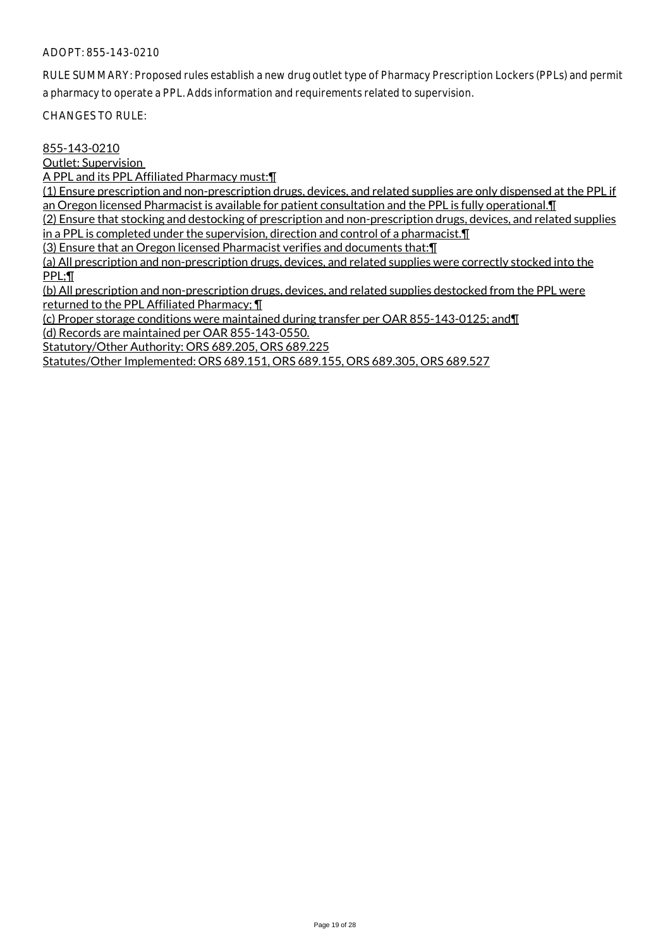RULE SUMMARY: Proposed rules establish a new drug outlet type of Pharmacy Prescription Lockers (PPLs) and permit a pharmacy to operate a PPL. Adds information and requirements related to supervision.

CHANGES TO RULE:

#### 855-143-0210

Outlet: Supervision

A PPL and its PPL Affiliated Pharmacy must:¶

(1) Ensure prescription and non-prescription drugs, devices, and related supplies are only dispensed at the PPL if an Oregon licensed Pharmacist is available for patient consultation and the PPL is fully operational.¶

(2) Ensure that stocking and destocking of prescription and non-prescription drugs, devices, and related supplies in a PPL is completed under the supervision, direction and control of a pharmacist.¶

(3) Ensure that an Oregon licensed Pharmacist verifies and documents that:¶

(a) All prescription and non-prescription drugs, devices, and related supplies were correctly stocked into the PPL;¶

(b) All prescription and non-prescription drugs, devices, and related supplies destocked from the PPL were returned to the PPL Affiliated Pharmacy; ¶

(c) Proper storage conditions were maintained during transfer per OAR 855-143-0125; and¶ (d) Records are maintained per OAR 855-143-0550.

Statutory/Other Authority: ORS 689.205, ORS 689.225

Statutes/Other Implemented: ORS 689.151, ORS 689.155, ORS 689.305, ORS 689.527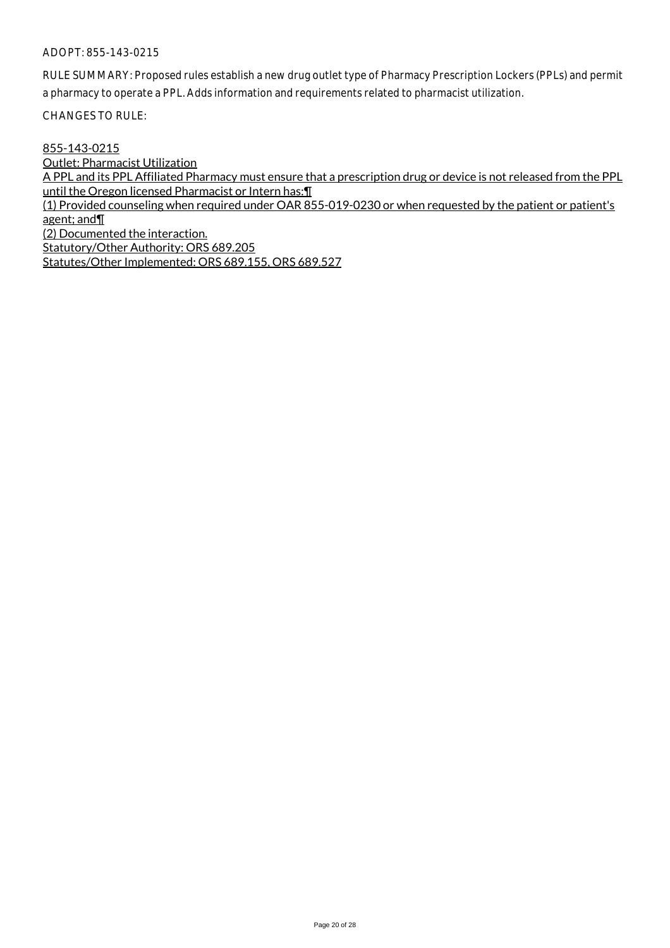RULE SUMMARY: Proposed rules establish a new drug outlet type of Pharmacy Prescription Lockers (PPLs) and permit a pharmacy to operate a PPL. Adds information and requirements related to pharmacist utilization.

CHANGES TO RULE:

855-143-0215 Outlet: Pharmacist Utilization A PPL and its PPL Affiliated Pharmacy must ensure that a prescription drug or device is not released from the PPL until the Oregon licensed Pharmacist or Intern has:¶ (1) Provided counseling when required under OAR 855-019-0230 or when requested by the patient or patient's agent; and¶ (2) Documented the interaction. Statutory/Other Authority: ORS 689.205 Statutes/Other Implemented: ORS 689.155, ORS 689.527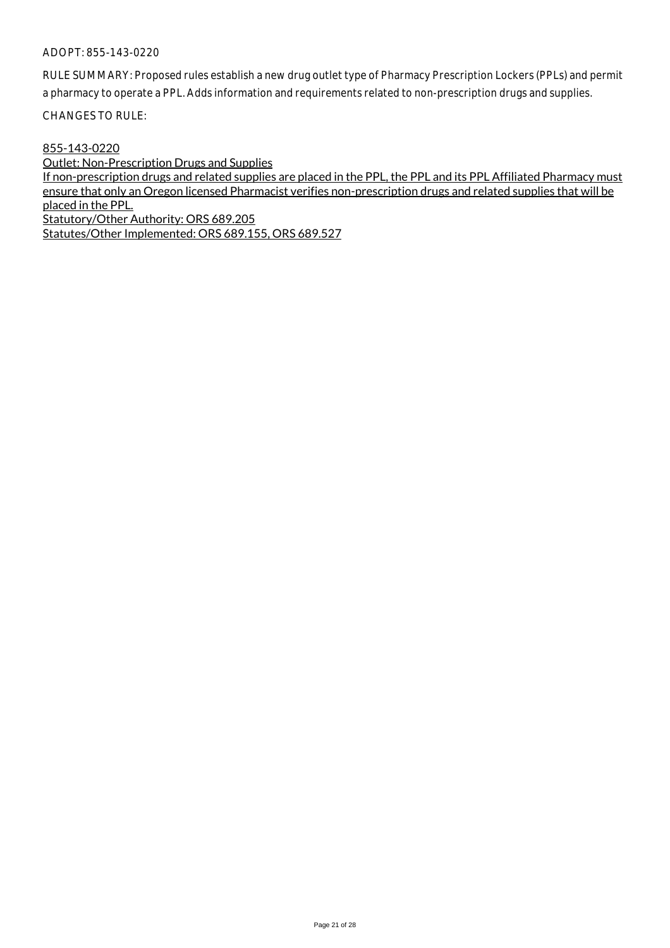RULE SUMMARY: Proposed rules establish a new drug outlet type of Pharmacy Prescription Lockers (PPLs) and permit a pharmacy to operate a PPL. Adds information and requirements related to non-prescription drugs and supplies.

CHANGES TO RULE:

#### 855-143-0220

Outlet: Non-Prescription Drugs and Supplies

If non-prescription drugs and related supplies are placed in the PPL, the PPL and its PPL Affiliated Pharmacy must ensure that only an Oregon licensed Pharmacist verifies non-prescription drugs and related supplies that will be placed in the PPL.

Statutory/Other Authority: ORS 689.205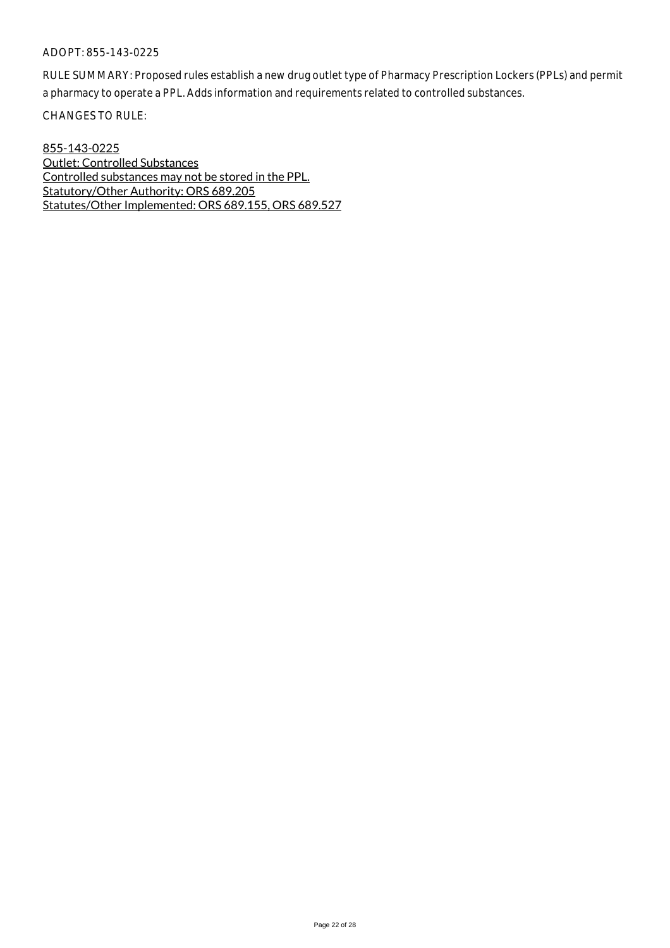RULE SUMMARY: Proposed rules establish a new drug outlet type of Pharmacy Prescription Lockers (PPLs) and permit a pharmacy to operate a PPL. Adds information and requirements related to controlled substances.

CHANGES TO RULE:

855-143-0225 Outlet: Controlled Substances Controlled substances may not be stored in the PPL. Statutory/Other Authority: ORS 689.205 Statutes/Other Implemented: ORS 689.155, ORS 689.527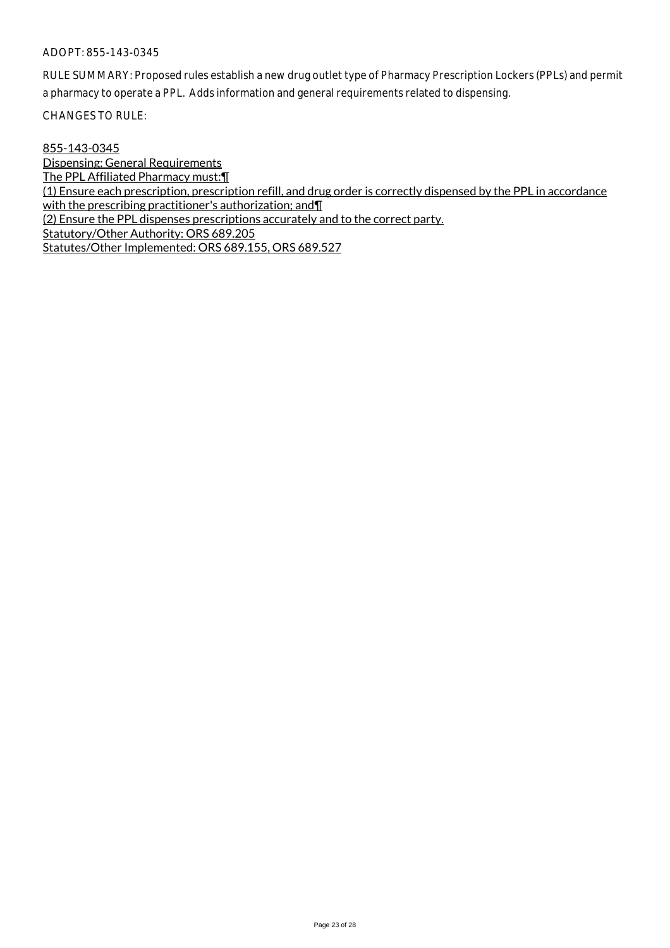RULE SUMMARY: Proposed rules establish a new drug outlet type of Pharmacy Prescription Lockers (PPLs) and permit a pharmacy to operate a PPL. Adds information and general requirements related to dispensing.

CHANGES TO RULE:

855-143-0345

Dispensing: General Requirements The PPL Affiliated Pharmacy must:¶ (1) Ensure each prescription, prescription refill, and drug order is correctly dispensed by the PPL in accordance with the prescribing practitioner's authorization; and [1] (2) Ensure the PPL dispenses prescriptions accurately and to the correct party. Statutory/Other Authority: ORS 689.205 Statutes/Other Implemented: ORS 689.155, ORS 689.527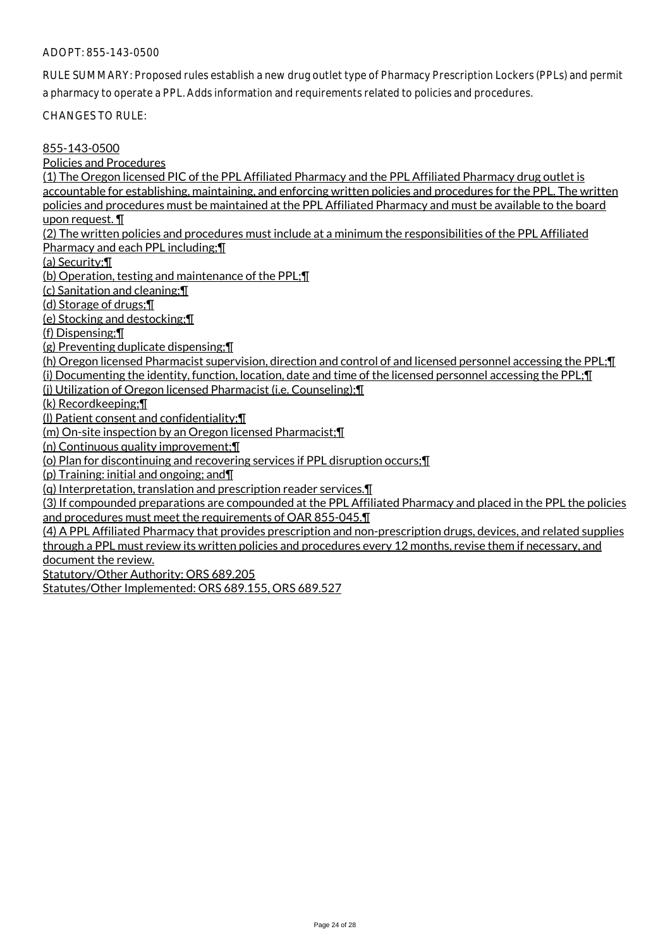RULE SUMMARY: Proposed rules establish a new drug outlet type of Pharmacy Prescription Lockers (PPLs) and permit a pharmacy to operate a PPL. Adds information and requirements related to policies and procedures.

CHANGES TO RULE:

#### 855-143-0500

Policies and Procedures

(1) The Oregon licensed PIC of the PPL Affiliated Pharmacy and the PPL Affiliated Pharmacy drug outlet is accountable for establishing, maintaining, and enforcing written policies and procedures for the PPL. The written policies and procedures must be maintained at the PPL Affiliated Pharmacy and must be available to the board upon request. ¶

(2) The written policies and procedures must include at a minimum the responsibilities of the PPL Affiliated Pharmacy and each PPL including;¶

(a) Security;¶

(b) Operation, testing and maintenance of the PPL;¶

(c) Sanitation and cleaning;¶

(d) Storage of drugs;¶

(e) Stocking and destocking;¶

(f) Dispensing;¶

(g) Preventing duplicate dispensing;¶

(h) Oregon licensed Pharmacist supervision, direction and control of and licensed personnel accessing the PPL;¶

(i) Documenting the identity, function, location, date and time of the licensed personnel accessing the PPL;¶

(j) Utilization of Oregon licensed Pharmacist (i.e. Counseling);¶

(k) Recordkeeping;¶

(l) Patient consent and confidentiality;¶

(m) On-site inspection by an Oregon licensed Pharmacist;¶

(n) Continuous quality improvement;¶

(o) Plan for discontinuing and recovering services if PPL disruption occurs;¶

(p) Training: initial and ongoing; and¶

(q) Interpretation, translation and prescription reader services.¶

(3) If compounded preparations are compounded at the PPL Affiliated Pharmacy and placed in the PPL the policies and procedures must meet the requirements of OAR 855-045.¶

(4) A PPL Affiliated Pharmacy that provides prescription and non-prescription drugs, devices, and related supplies through a PPL must review its written policies and procedures every 12 months, revise them if necessary, and document the review.

Statutory/Other Authority: ORS 689.205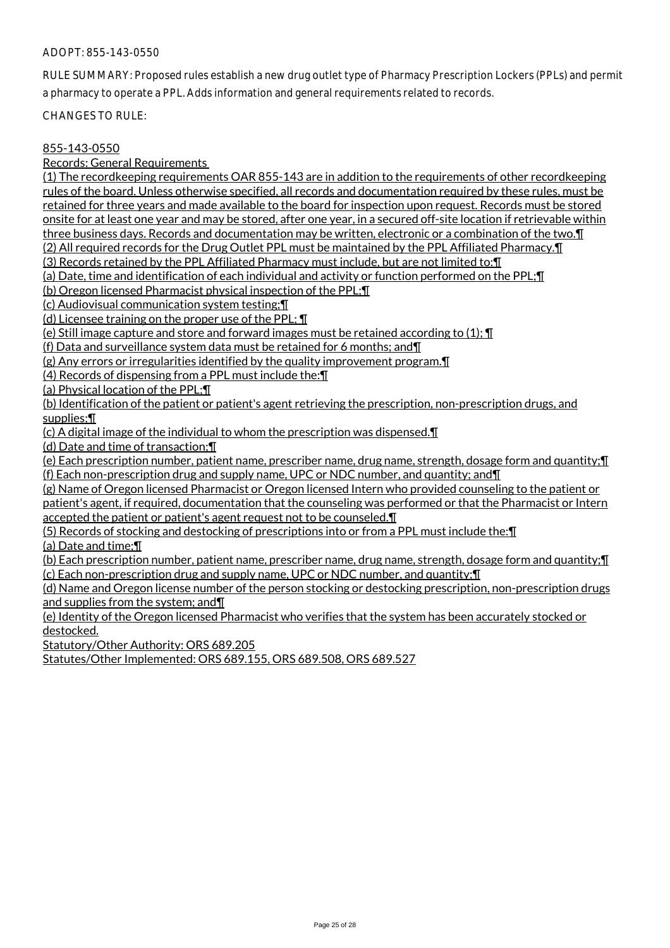RULE SUMMARY: Proposed rules establish a new drug outlet type of Pharmacy Prescription Lockers (PPLs) and permit a pharmacy to operate a PPL. Adds information and general requirements related to records.

CHANGES TO RULE:

#### 855-143-0550

Records: General Requirements

(1) The recordkeeping requirements OAR 855-143 are in addition to the requirements of other recordkeeping rules of the board. Unless otherwise specified, all records and documentation required by these rules, must be retained for three years and made available to the board for inspection upon request. Records must be stored onsite for at least one year and may be stored, after one year, in a secured off-site location if retrievable within

three business days. Records and documentation may be written, electronic or a combination of the two.¶

(2) All required records for the Drug Outlet PPL must be maintained by the PPL Affiliated Pharmacy.¶

(3) Records retained by the PPL Affiliated Pharmacy must include, but are not limited to:¶

(a) Date, time and identification of each individual and activity or function performed on the PPL;¶

(b) Oregon licensed Pharmacist physical inspection of the PPL;¶

(c) Audiovisual communication system testing;¶

(d) Licensee training on the proper use of the PPL; ¶

(e) Still image capture and store and forward images must be retained according to (1); ¶

(f) Data and surveillance system data must be retained for 6 months; and¶

(g) Any errors or irregularities identified by the quality improvement program.¶

(4) Records of dispensing from a PPL must include the:¶

(a) Physical location of the PPL;¶

(b) Identification of the patient or patient's agent retrieving the prescription, non-prescription drugs, and supplies;¶

(c) A digital image of the individual to whom the prescription was dispensed.¶

(d) Date and time of transaction;¶

(e) Each prescription number, patient name, prescriber name, drug name, strength, dosage form and quantity;¶ (f) Each non-prescription drug and supply name, UPC or NDC number, and quantity; and¶

(g) Name of Oregon licensed Pharmacist or Oregon licensed Intern who provided counseling to the patient or patient's agent, if required, documentation that the counseling was performed or that the Pharmacist or Intern

accepted the patient or patient's agent request not to be counseled.¶

(5) Records of stocking and destocking of prescriptions into or from a PPL must include the:¶

(a) Date and time;¶

(b) Each prescription number, patient name, prescriber name, drug name, strength, dosage form and quantity;¶ (c) Each non-prescription drug and supply name, UPC or NDC number, and quantity;¶

(d) Name and Oregon license number of the person stocking or destocking prescription, non-prescription drugs and supplies from the system; and¶

(e) Identity of the Oregon licensed Pharmacist who verifies that the system has been accurately stocked or destocked.

Statutory/Other Authority: ORS 689.205

Statutes/Other Implemented: ORS 689.155, ORS 689.508, ORS 689.527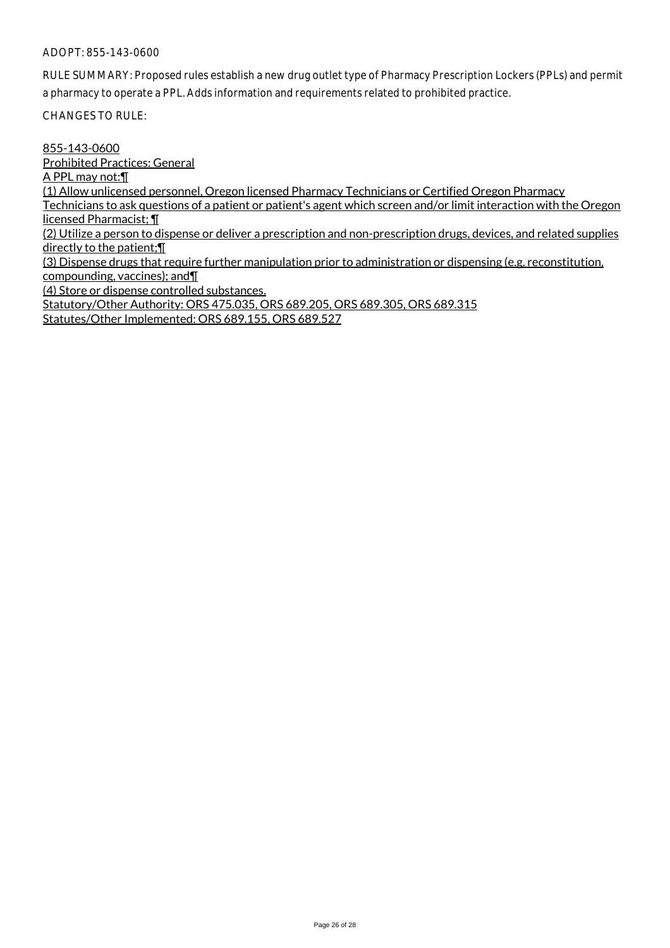RULE SUMMARY: Proposed rules establish a new drug outlet type of Pharmacy Prescription Lockers (PPLs) and permit a pharmacy to operate a PPL. Adds information and requirements related to prohibited practice.

CHANGES TO RULE:

855-143-0600 Prohibited Practices: General A PPL may not:¶ (1) Allow unlicensed personnel, Oregon licensed Pharmacy Technicians or Certified Oregon Pharmacy Technicians to ask questions of a patient or patient's agent which screen and/or limit interaction with the Oregon licensed Pharmacist; ¶ (2) Utilize a person to dispense or deliver a prescription and non-prescription drugs, devices, and related supplies directly to the patient;¶ (3) Dispense drugs that require further manipulation prior to administration or dispensing (e.g. reconstitution, compounding, vaccines); and¶ (4) Store or dispense controlled substances. Statutory/Other Authority: ORS 475.035, ORS 689.205, ORS 689.305, ORS 689.315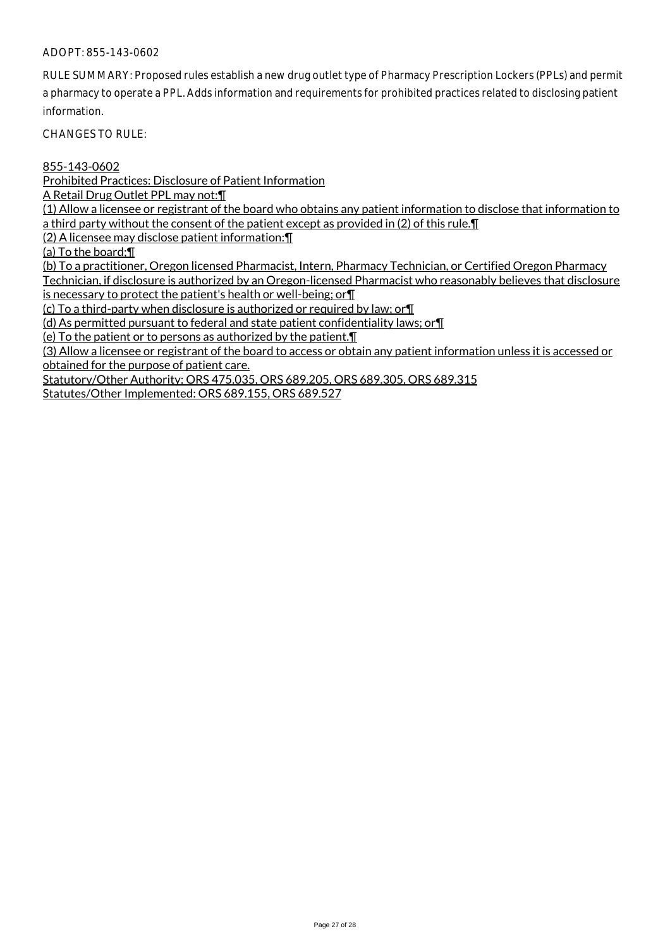RULE SUMMARY: Proposed rules establish a new drug outlet type of Pharmacy Prescription Lockers (PPLs) and permit a pharmacy to operate a PPL. Adds information and requirements for prohibited practices related to disclosing patient information.

CHANGES TO RULE:

855-143-0602

Prohibited Practices: Disclosure of Patient Information

A Retail Drug Outlet PPL may not:¶

(1) Allow a licensee or registrant of the board who obtains any patient information to disclose that information to a third party without the consent of the patient except as provided in (2) of this rule.¶

(2) A licensee may disclose patient information:¶

(a) To the board;¶

(b) To a practitioner, Oregon licensed Pharmacist, Intern, Pharmacy Technician, or Certified Oregon Pharmacy Technician, if disclosure is authorized by an Oregon-licensed Pharmacist who reasonably believes that disclosure

is necessary to protect the patient's health or well-being; or¶

(c) To a third-party when disclosure is authorized or required by law; or¶

(d) As permitted pursuant to federal and state patient confidentiality laws; or¶

(e) To the patient or to persons as authorized by the patient.¶

(3) Allow a licensee or registrant of the board to access or obtain any patient information unless it is accessed or obtained for the purpose of patient care.

Statutory/Other Authority: ORS 475.035, ORS 689.205, ORS 689.305, ORS 689.315